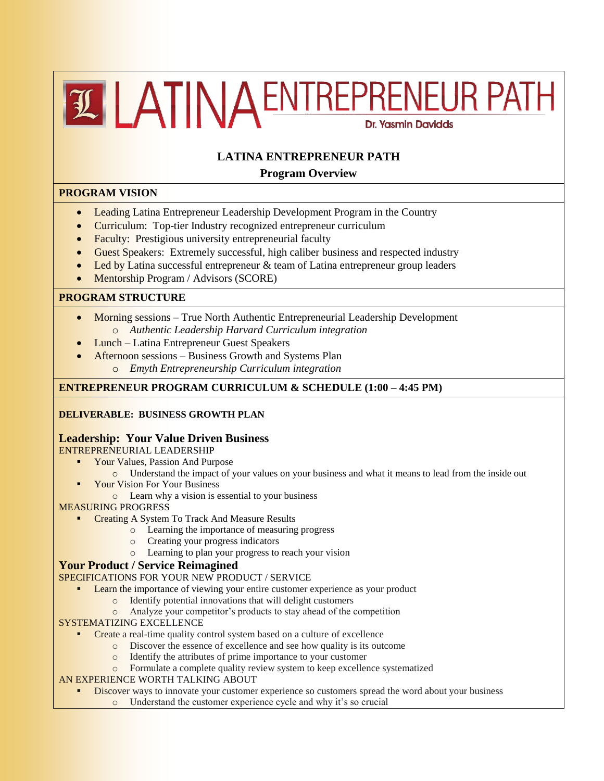# ELATINA ENTREPRENEUR PATH Dr. Yasmin Davidds

# **LATINA ENTREPRENEUR PATH**

# **Program Overview**

# **PROGRAM VISION**

- Leading Latina Entrepreneur Leadership Development Program in the Country
- Curriculum: Top-tier Industry recognized entrepreneur curriculum
- Faculty: Prestigious university entrepreneurial faculty
- Guest Speakers: Extremely successful, high caliber business and respected industry
- Led by Latina successful entrepreneur & team of Latina entrepreneur group leaders
- Mentorship Program / Advisors (SCORE)

# **PROGRAM STRUCTURE**

- Morning sessions True North Authentic Entrepreneurial Leadership Development o *Authentic Leadership Harvard Curriculum integration*
- Lunch Latina Entrepreneur Guest Speakers
- Afternoon sessions Business Growth and Systems Plan o *Emyth Entrepreneurship Curriculum integration*

# **ENTREPRENEUR PROGRAM CURRICULUM & SCHEDULE (1:00 – 4:45 PM)**

# **DELIVERABLE: BUSINESS GROWTH PLAN**

## **Leadership: Your Value Driven Business**

ENTREPRENEURIAL LEADERSHIP

- **Your Values, Passion And Purpose** 
	- o Understand the impact of your values on your business and what it means to lead from the inside out
	- Your Vision For Your Business
		- o Learn why a vision is essential to your business

MEASURING PROGRESS

- Creating A System To Track And Measure Results
	- o Learning the importance of measuring progress
	- o Creating your progress indicators
	- o Learning to plan your progress to reach your vision

## **Your Product / Service Reimagined**

SPECIFICATIONS FOR YOUR NEW PRODUCT / SERVICE

- **Learn the importance of viewing your entire customer experience as your product** 
	- o Identify potential innovations that will delight customers
	- o Analyze your competitor's products to stay ahead of the competition
- SYSTEMATIZING EXCELLENCE
	- Create a real-time quality control system based on a culture of excellence
		- o Discover the essence of excellence and see how quality is its outcome
		- o Identify the attributes of prime importance to your customer
		- o Formulate a complete quality review system to keep excellence systematized

## AN EXPERIENCE WORTH TALKING ABOUT

- Discover ways to innovate your customer experience so customers spread the word about your business
	- o Understand the customer experience cycle and why it's so crucial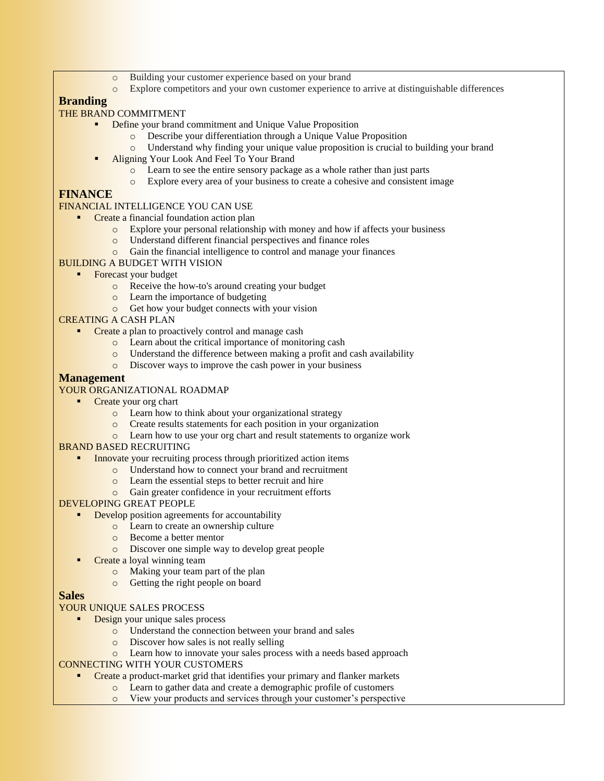- o Building your customer experience based on your brand
- o Explore competitors and your own customer experience to arrive at distinguishable differences

# **Branding**

# THE BRAND COMMITMENT

- Define your brand commitment and Unique Value Proposition
	- o Describe your differentiation through a Unique Value Proposition
	- o Understand why finding your unique value proposition is crucial to building your brand
- Aligning Your Look And Feel To Your Brand
	- o Learn to see the entire sensory package as a whole rather than just parts
	- o Explore every area of your business to create a cohesive and consistent image

# **FINANCE**

#### FINANCIAL INTELLIGENCE YOU CAN USE

- Create a financial foundation action plan
	- o Explore your personal relationship with money and how if affects your business
	- o Understand different financial perspectives and finance roles
	- o Gain the financial intelligence to control and manage your finances
- BUILDING A BUDGET WITH VISION
	- Forecast your budget
		- o Receive the how-to's around creating your budget
		- **o** Learn the importance of budgeting
		- o Get how your budget connects with your vision

## CREATING A CASH PLAN

- Create a plan to proactively control and manage cash
	- o Learn about the critical importance of monitoring cash
	- o Understand the difference between making a profit and cash availability
	- o Discover ways to improve the cash power in your business

#### **Management**

#### YOUR ORGANIZATIONAL ROADMAP

- Create your org chart
	- o Learn how to think about your organizational strategy
	- o Create results statements for each position in your organization
	- o Learn how to use your org chart and result statements to organize work

#### BRAND BASED RECRUITING

- Innovate your recruiting process through prioritized action items
	- o Understand how to connect your brand and recruitment
	- o Learn the essential steps to better recruit and hire
	- o Gain greater confidence in your recruitment efforts

#### DEVELOPING GREAT PEOPLE

- Develop position agreements for accountability
	- **o** Learn to create an ownership culture
	- o Become a better mentor
	- o Discover one simple way to develop great people
- Create a loyal winning team
	- o Making your team part of the plan
	- o Getting the right people on board

## **Sales**

# YOUR UNIQUE SALES PROCESS

- Design your unique sales process
	- o Understand the connection between your brand and sales
	- o Discover how sales is not really selling
	- o Learn how to innovate your sales process with a needs based approach
- CONNECTING WITH YOUR CUSTOMERS
	- Create a product-market grid that identifies your primary and flanker markets
		- o Learn to gather data and create a demographic profile of customers
		- o View your products and services through your customer's perspective